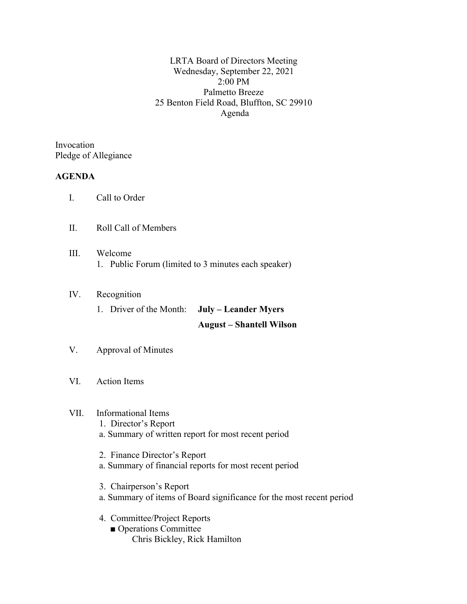LRTA Board of Directors Meeting Wednesday, September 22, 2021 2:00 PM Palmetto Breeze 25 Benton Field Road, Bluffton, SC 29910 Agenda

Invocation Pledge of Allegiance

### **AGENDA**

- I. Call to Order
- II. Roll Call of Members
- III. Welcome 1. Public Forum (limited to 3 minutes each speaker)

## IV. Recognition

1. Driver of the Month: **July – Leander Myers**

#### **August – Shantell Wilson**

- V. Approval of Minutes
- VI. Action Items

# VII. Informational Items

- 1. Director's Report
- a. Summary of written report for most recent period
- 2. Finance Director's Report
- a. Summary of financial reports for most recent period
- 3. Chairperson's Report
- a. Summary of items of Board significance for the most recent period
- 4. Committee/Project Reports
	- Operations Committee Chris Bickley, Rick Hamilton